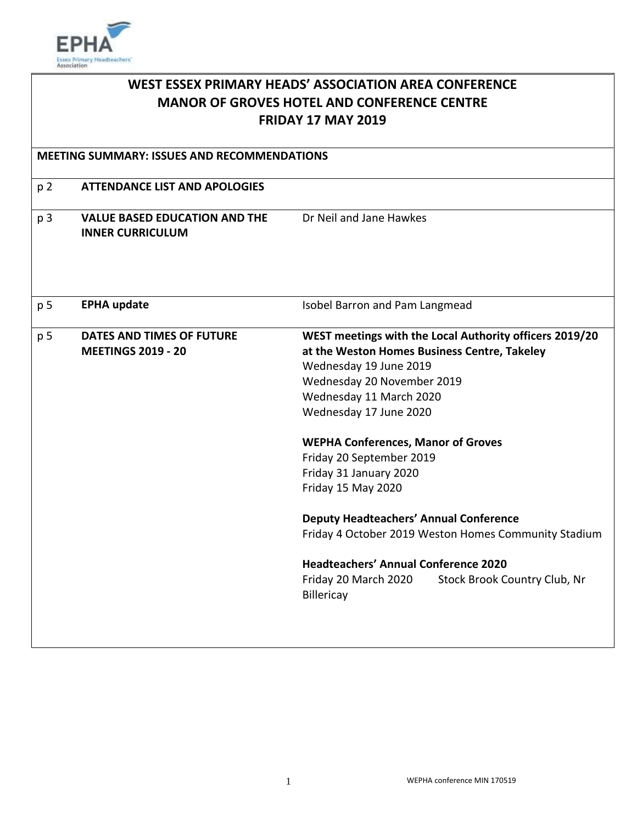

| <b>WEST ESSEX PRIMARY HEADS' ASSOCIATION AREA CONFERENCE</b><br><b>MANOR OF GROVES HOTEL AND CONFERENCE CENTRE</b><br><b>FRIDAY 17 MAY 2019</b><br><b>MEETING SUMMARY: ISSUES AND RECOMMENDATIONS</b> |                                                                 |                                                                                                                                                                                                                                                                                                                                                                                                                                                                                                                                                                             |
|-------------------------------------------------------------------------------------------------------------------------------------------------------------------------------------------------------|-----------------------------------------------------------------|-----------------------------------------------------------------------------------------------------------------------------------------------------------------------------------------------------------------------------------------------------------------------------------------------------------------------------------------------------------------------------------------------------------------------------------------------------------------------------------------------------------------------------------------------------------------------------|
|                                                                                                                                                                                                       |                                                                 |                                                                                                                                                                                                                                                                                                                                                                                                                                                                                                                                                                             |
| p 3                                                                                                                                                                                                   | <b>VALUE BASED EDUCATION AND THE</b><br><b>INNER CURRICULUM</b> | Dr Neil and Jane Hawkes                                                                                                                                                                                                                                                                                                                                                                                                                                                                                                                                                     |
| p 5                                                                                                                                                                                                   | <b>EPHA update</b>                                              | Isobel Barron and Pam Langmead                                                                                                                                                                                                                                                                                                                                                                                                                                                                                                                                              |
| p 5                                                                                                                                                                                                   | <b>DATES AND TIMES OF FUTURE</b><br><b>MEETINGS 2019 - 20</b>   | WEST meetings with the Local Authority officers 2019/20<br>at the Weston Homes Business Centre, Takeley<br>Wednesday 19 June 2019<br>Wednesday 20 November 2019<br>Wednesday 11 March 2020<br>Wednesday 17 June 2020<br><b>WEPHA Conferences, Manor of Groves</b><br>Friday 20 September 2019<br>Friday 31 January 2020<br>Friday 15 May 2020<br><b>Deputy Headteachers' Annual Conference</b><br>Friday 4 October 2019 Weston Homes Community Stadium<br><b>Headteachers' Annual Conference 2020</b><br>Friday 20 March 2020<br>Stock Brook Country Club, Nr<br>Billericay |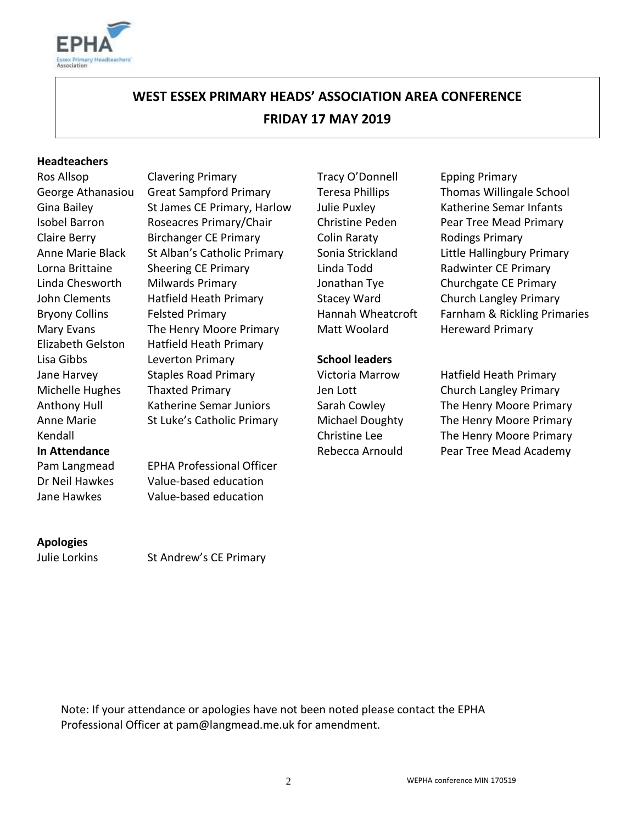

# **WEST ESSEX PRIMARY HEADS' ASSOCIATION AREA CONFERENCE FRIDAY 17 MAY 2019**

#### **Headteachers**

Anne Marie Kendall

Ros Allsop Clavering Primary Tracy O'Donnell Epping Primary George Athanasiou Great Sampford Primary Teresa Phillips Thomas Willingale School Gina Bailey St James CE Primary, Harlow Julie Puxley Katherine Semar Infants Isobel Barron Roseacres Primary/Chair Christine Peden Pear Tree Mead Primary Claire Berry Birchanger CE Primary Colin Raraty Rodings Primary Anne Marie Black St Alban's Catholic Primary Sonia Strickland Little Hallingbury Primary Lorna Brittaine Sheering CE Primary Linda Todd Radwinter CE Primary Linda Chesworth Milwards Primary Jonathan Tye Churchgate CE Primary John Clements Hatfield Heath Primary Stacey Ward Church Langley Primary Mary Evans The Henry Moore Primary Matt Woolard Hereward Primary Elizabeth Gelston Hatfield Heath Primary Lisa Gibbs Leverton Primary **School leaders** Jane Harvey Staples Road Primary Victoria Marrow Hatfield Heath Primary Michelle Hughes Thaxted Primary Jen Lott Church Langley Primary Anthony Hull Katherine Semar Juniors Sarah Cowley The Henry Moore Primary

Pam Langmead EPHA Professional Officer Dr Neil Hawkes Value-based education Jane Hawkes Value-based education

# **Apologies**

Julie Lorkins St Andrew's CE Primary

St Luke's Catholic Primary Michael Doughty Christine Lee

Bryony Collins Felsted Primary **Felsted Primary Farnah Wheatcroft** Farnham & Rickling Primaries

The Henry Moore Primary The Henry Moore Primary **In Attendance In Attendance Rebecca Arnould** Pear Tree Mead Academy

Note: If your attendance or apologies have not been noted please contact the EPHA Professional Officer at pam@langmead.me.uk for amendment.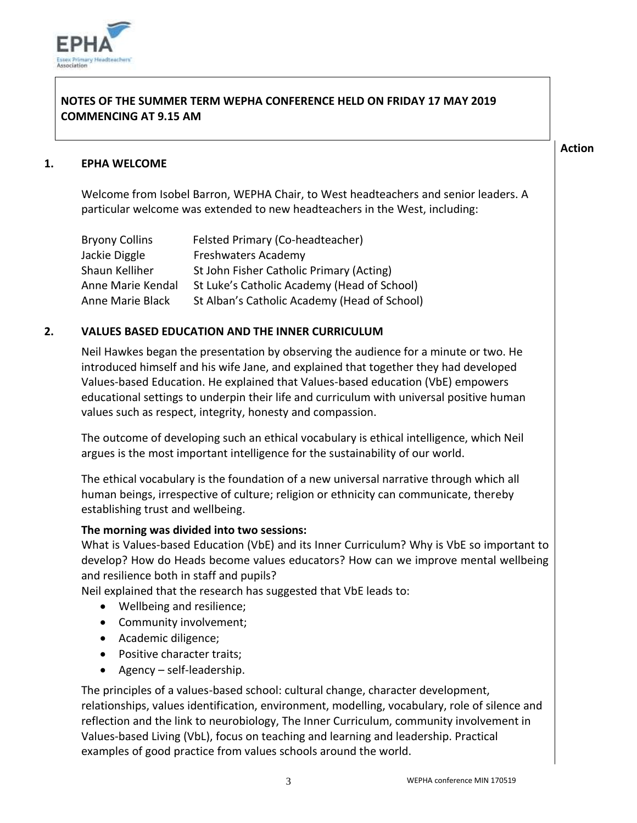

# **NOTES OF THE SUMMER TERM WEPHA CONFERENCE HELD ON FRIDAY 17 MAY 2019 COMMENCING AT 9.15 AM**

#### **Action**

# **1. EPHA WELCOME**

Welcome from Isobel Barron, WEPHA Chair, to West headteachers and senior leaders. A particular welcome was extended to new headteachers in the West, including:

| <b>Bryony Collins</b> | Felsted Primary (Co-headteacher)             |
|-----------------------|----------------------------------------------|
| Jackie Diggle         | <b>Freshwaters Academy</b>                   |
| Shaun Kelliher        | St John Fisher Catholic Primary (Acting)     |
| Anne Marie Kendal     | St Luke's Catholic Academy (Head of School)  |
| Anne Marie Black      | St Alban's Catholic Academy (Head of School) |

# **2. VALUES BASED EDUCATION AND THE INNER CURRICULUM**

Neil Hawkes began the presentation by observing the audience for a minute or two. He introduced himself and his wife Jane, and explained that together they had developed Values-based Education. He explained that Values-based education (VbE) empowers educational settings to underpin their life and curriculum with universal positive human values such as respect, integrity, honesty and compassion.

The outcome of developing such an ethical vocabulary is ethical intelligence, which Neil argues is the most important intelligence for the sustainability of our world.

The ethical vocabulary is the foundation of a new universal narrative through which all human beings, irrespective of culture; religion or ethnicity can communicate, thereby establishing trust and wellbeing.

# **The morning was divided into two sessions:**

What is Values-based Education (VbE) and its Inner Curriculum? Why is VbE so important to develop? How do Heads become values educators? How can we improve mental wellbeing and resilience both in staff and pupils?

Neil explained that the research has suggested that VbE leads to:

- Wellbeing and resilience;
- Community involvement;
- Academic diligence;
- Positive character traits;
- $\bullet$  Agency self-leadership.

The principles of a values-based school: cultural change, character development, relationships, values identification, environment, modelling, vocabulary, role of silence and reflection and the link to neurobiology, The Inner Curriculum, community involvement in Values-based Living (VbL), focus on teaching and learning and leadership. Practical examples of good practice from values schools around the world.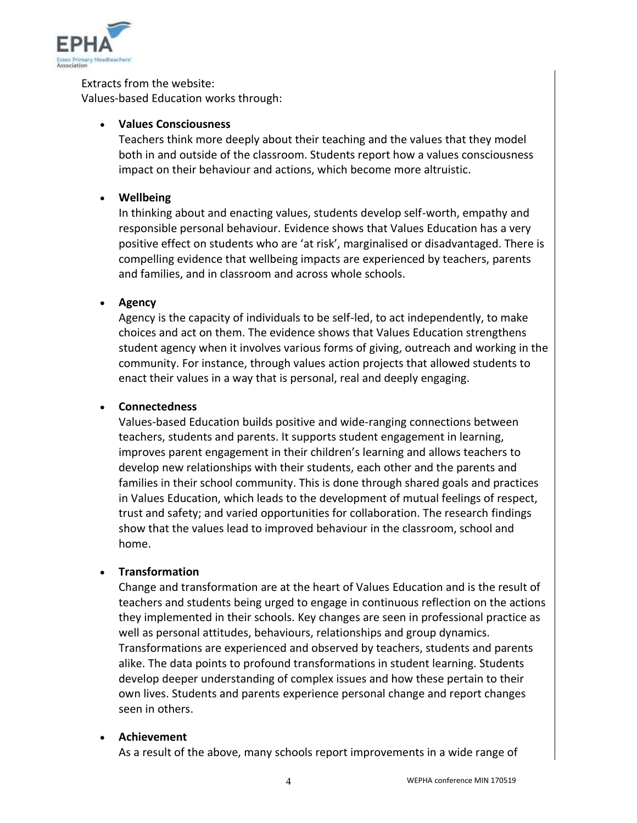

Extracts from the website: Values-based Education works through:

# **Values Consciousness**

Teachers think more deeply about their teaching and the values that they model both in and outside of the classroom. Students report how a values consciousness impact on their behaviour and actions, which become more altruistic.

# **Wellbeing**

In thinking about and enacting values, students develop self-worth, empathy and responsible personal behaviour. Evidence shows that Values Education has a very positive effect on students who are 'at risk', marginalised or disadvantaged. There is compelling evidence that wellbeing impacts are experienced by teachers, parents and families, and in classroom and across whole schools.

# **Agency**

Agency is the capacity of individuals to be self-led, to act independently, to make choices and act on them. The evidence shows that Values Education strengthens student agency when it involves various forms of giving, outreach and working in the community. For instance, through values action projects that allowed students to enact their values in a way that is personal, real and deeply engaging.

# **Connectedness**

Values-based Education builds positive and wide-ranging connections between teachers, students and parents. It supports student engagement in learning, improves parent engagement in their children's learning and allows teachers to develop new relationships with their students, each other and the parents and families in their school community. This is done through shared goals and practices in Values Education, which leads to the development of mutual feelings of respect, trust and safety; and varied opportunities for collaboration. The research findings show that the values lead to improved behaviour in the classroom, school and home.

# **Transformation**

Change and transformation are at the heart of Values Education and is the result of teachers and students being urged to engage in continuous reflection on the actions they implemented in their schools. Key changes are seen in professional practice as well as personal attitudes, behaviours, relationships and group dynamics. Transformations are experienced and observed by teachers, students and parents alike. The data points to profound transformations in student learning. Students develop deeper understanding of complex issues and how these pertain to their own lives. Students and parents experience personal change and report changes seen in others.

# **Achievement**

As a result of the above, many schools report improvements in a wide range of